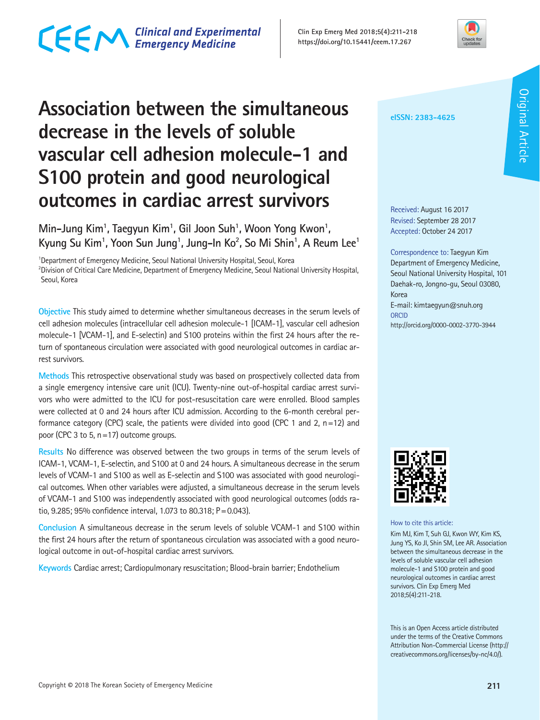### CECM Clinical and Experimental

**Clin Exp Emerg Med 2018;5(4):211-218 https://doi.org/10.15441/ceem.17.267**



### **Association between the simultaneous decrease in the levels of soluble vascular cell adhesion molecule-1 and S100 protein and good neurological outcomes in cardiac arrest survivors**

Min-Jung Kim<sup>1</sup>, Taegyun Kim<sup>1</sup>, Gil Joon Suh<sup>1</sup>, Woon Yong Kwon<sup>1</sup>, **Kyung Su Kim1 , Yoon Sun Jung1 , Jung-In Ko2 , So Mi Shin1 , A Reum Lee1**

<sup>1</sup>Department of Emergency Medicine, Seoul National University Hospital, Seoul, Korea 2 Division of Critical Care Medicine, Department of Emergency Medicine, Seoul National University Hospital, Seoul, Korea

**Objective** This study aimed to determine whether simultaneous decreases in the serum levels of cell adhesion molecules (intracellular cell adhesion molecule-1 [ICAM-1], vascular cell adhesion molecule-1 [VCAM-1], and E-selectin) and S100 proteins within the first 24 hours after the return of spontaneous circulation were associated with good neurological outcomes in cardiac arrest survivors.

**Methods** This retrospective observational study was based on prospectively collected data from a single emergency intensive care unit (ICU). Twenty-nine out-of-hospital cardiac arrest survivors who were admitted to the ICU for post-resuscitation care were enrolled. Blood samples were collected at 0 and 24 hours after ICU admission. According to the 6-month cerebral performance category (CPC) scale, the patients were divided into good (CPC 1 and 2, n=12) and poor (CPC 3 to 5, n=17) outcome groups.

**Results** No difference was observed between the two groups in terms of the serum levels of ICAM-1, VCAM-1, E-selectin, and S100 at 0 and 24 hours. A simultaneous decrease in the serum levels of VCAM-1 and S100 as well as E-selectin and S100 was associated with good neurological outcomes. When other variables were adjusted, a simultaneous decrease in the serum levels of VCAM-1 and S100 was independently associated with good neurological outcomes (odds ratio, 9.285; 95% confidence interval, 1.073 to 80.318; P=0.043).

**Conclusion** A simultaneous decrease in the serum levels of soluble VCAM-1 and S100 within the first 24 hours after the return of spontaneous circulation was associated with a good neurological outcome in out-of-hospital cardiac arrest survivors.

**Keywords** Cardiac arrest; Cardiopulmonary resuscitation; Blood-brain barrier; Endothelium

#### **eISSN: 2383-4625**

Received: August 16 2017 Revised: September 28 2017 Accepted: October 24 2017

Correspondence to: Taegyun Kim Department of Emergency Medicine, Seoul National University Hospital, 101 Daehak-ro, Jongno-gu, Seoul 03080, Korea E-mail: kimtaegyun@snuh.org **ORCID** http://orcid.org/0000-0002-3770-3944



How to cite this article:

Kim MJ, Kim T, Suh GJ, Kwon WY, Kim KS, Jung YS, Ko JI, Shin SM, Lee AR. Association between the simultaneous decrease in the levels of soluble vascular cell adhesion molecule-1 and S100 protein and good neurological outcomes in cardiac arrest survivors. Clin Exp Emerg Med 2018;5(4):211-218.

This is an Open Access article distributed under the terms of the Creative Commons Attribution Non-Commercial License (http:// creativecommons.org/licenses/by-nc/4.0/).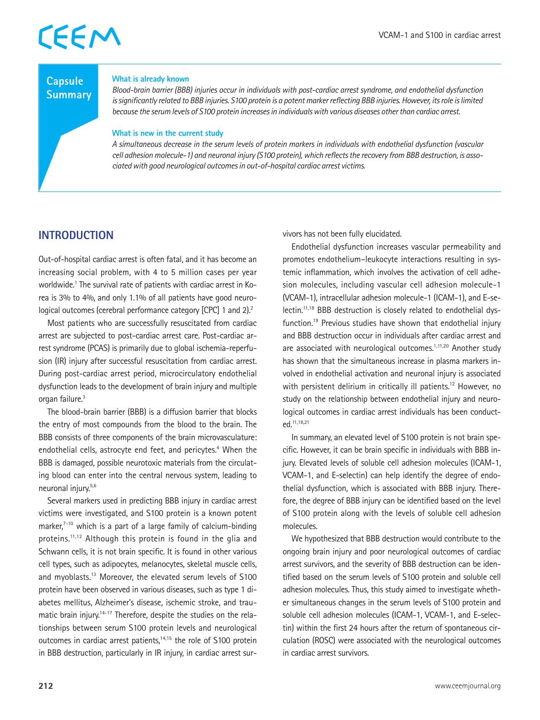#### **Capsule Summary**

#### **What is already known**

*Blood-brain barrier (BBB) injuries occur in individuals with post-cardiac arrest syndrome, and endothelial dysfunction is significantly related to BBB injuries. S100 protein is a potent marker reflecting BBB injuries. However, its role is limited because the serum levels of S100 protein increases in individuals with various diseases other than cardiac arrest.*

#### **What is new in the current study**

*A simultaneous decrease in the serum levels of protein markers in individuals with endothelial dysfunction (vascular cell adhesion molecule-1) and neuronal injury (S100 protein), which reflects the recovery from BBB destruction, is associated with good neurological outcomes in out-of-hospital cardiac arrest victims.*

#### **INTRODUCTION**

Out-of-hospital cardiac arrest is often fatal, and it has become an increasing social problem, with 4 to 5 million cases per year worldwide.<sup>1</sup> The survival rate of patients with cardiac arrest in Korea is 3% to 4%, and only 1.1% of all patients have good neurological outcomes (cerebral performance category [CPC] 1 and 2).<sup>2</sup>

Most patients who are successfully resuscitated from cardiac arrest are subjected to post-cardiac arrest care. Post-cardiac arrest syndrome (PCAS) is primarily due to global ischemia-reperfusion (IR) injury after successful resuscitation from cardiac arrest. During post-cardiac arrest period, microcirculatory endothelial dysfunction leads to the development of brain injury and multiple organ failure.<sup>3</sup>

The blood-brain barrier (BBB) is a diffusion barrier that blocks the entry of most compounds from the blood to the brain. The BBB consists of three components of the brain microvasculature: endothelial cells, astrocyte end feet, and pericytes.<sup>4</sup> When the BBB is damaged, possible neurotoxic materials from the circulating blood can enter into the central nervous system, leading to neuronal injury.5,6

Several markers used in predicting BBB injury in cardiac arrest victims were investigated, and S100 protein is a known potent marker, $7-10$  which is a part of a large family of calcium-binding proteins.<sup>11,12</sup> Although this protein is found in the glia and Schwann cells, it is not brain specific. It is found in other various cell types, such as adipocytes, melanocytes, skeletal muscle cells, and myoblasts.13 Moreover, the elevated serum levels of S100 protein have been observed in various diseases, such as type 1 diabetes mellitus, Alzheimer's disease, ischemic stroke, and traumatic brain injury.<sup>14-17</sup> Therefore, despite the studies on the relationships between serum S100 protein levels and neurological outcomes in cardiac arrest patients,<sup>14,15</sup> the role of S100 protein in BBB destruction, particularly in IR injury, in cardiac arrest survivors has not been fully elucidated.

Endothelial dysfunction increases vascular permeability and promotes endothelium–leukocyte interactions resulting in systemic inflammation, which involves the activation of cell adhesion molecules, including vascular cell adhesion molecule-1 (VCAM-1), intracellular adhesion molecule-1 (ICAM-1), and E-selectin.11,18 BBB destruction is closely related to endothelial dysfunction.19 Previous studies have shown that endothelial injury and BBB destruction occur in individuals after cardiac arrest and are associated with neurological outcomes.<sup>1,11,20</sup> Another study has shown that the simultaneous increase in plasma markers involved in endothelial activation and neuronal injury is associated with persistent delirium in critically ill patients.<sup>12</sup> However, no study on the relationship between endothelial injury and neurological outcomes in cardiac arrest individuals has been conducted.11,18,21

In summary, an elevated level of S100 protein is not brain specific. However, it can be brain specific in individuals with BBB injury. Elevated levels of soluble cell adhesion molecules (ICAM-1, VCAM-1, and E-selectin) can help identify the degree of endothelial dysfunction, which is associated with BBB injury. Therefore, the degree of BBB injury can be identified based on the level of S100 protein along with the levels of soluble cell adhesion molecules.

We hypothesized that BBB destruction would contribute to the ongoing brain injury and poor neurological outcomes of cardiac arrest survivors, and the severity of BBB destruction can be identified based on the serum levels of S100 protein and soluble cell adhesion molecules. Thus, this study aimed to investigate whether simultaneous changes in the serum levels of S100 protein and soluble cell adhesion molecules (ICAM-1, VCAM-1, and E-selectin) within the first 24 hours after the return of spontaneous circulation (ROSC) were associated with the neurological outcomes in cardiac arrest survivors.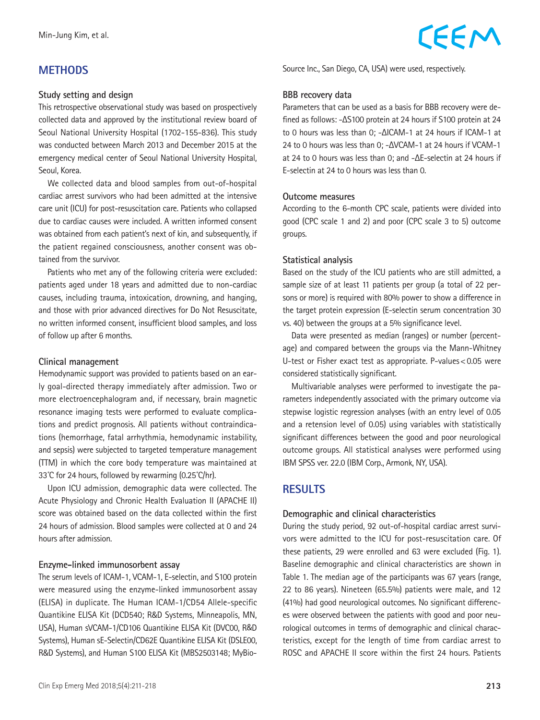#### **METHODS**

#### **Study setting and design**

This retrospective observational study was based on prospectively collected data and approved by the institutional review board of Seoul National University Hospital (1702-155-836). This study was conducted between March 2013 and December 2015 at the emergency medical center of Seoul National University Hospital, Seoul, Korea.

We collected data and blood samples from out-of-hospital cardiac arrest survivors who had been admitted at the intensive care unit (ICU) for post-resuscitation care. Patients who collapsed due to cardiac causes were included. A written informed consent was obtained from each patient's next of kin, and subsequently, if the patient regained consciousness, another consent was obtained from the survivor.

Patients who met any of the following criteria were excluded: patients aged under 18 years and admitted due to non-cardiac causes, including trauma, intoxication, drowning, and hanging, and those with prior advanced directives for Do Not Resuscitate, no written informed consent, insufficient blood samples, and loss of follow up after 6 months.

#### **Clinical management**

Hemodynamic support was provided to patients based on an early goal-directed therapy immediately after admission. Two or more electroencephalogram and, if necessary, brain magnetic resonance imaging tests were performed to evaluate complications and predict prognosis. All patients without contraindications (hemorrhage, fatal arrhythmia, hemodynamic instability, and sepsis) were subjected to targeted temperature management (TTM) in which the core body temperature was maintained at 33˚C for 24 hours, followed by rewarming (0.25˚C/hr).

Upon ICU admission, demographic data were collected. The Acute Physiology and Chronic Health Evaluation II (APACHE II) score was obtained based on the data collected within the first 24 hours of admission. Blood samples were collected at 0 and 24 hours after admission.

#### **Enzyme-linked immunosorbent assay**

The serum levels of ICAM-1, VCAM-1, E-selectin, and S100 protein were measured using the enzyme-linked immunosorbent assay (ELISA) in duplicate. The Human ICAM-1/CD54 Allele-specific Quantikine ELISA Kit (DCD540; R&D Systems, Minneapolis, MN, USA), Human sVCAM-1/CD106 Quantikine ELISA Kit (DVC00, R&D Systems), Human sE-Selectin/CD62E Quantikine ELISA Kit (DSLE00, R&D Systems), and Human S100 ELISA Kit (MBS2503148; MyBioSource Inc., San Diego, CA, USA) were used, respectively.

CEEM

#### **BBB recovery data**

Parameters that can be used as a basis for BBB recovery were defined as follows: -ΔS100 protein at 24 hours if S100 protein at 24 to 0 hours was less than 0; -ΔICAM-1 at 24 hours if ICAM-1 at 24 to 0 hours was less than 0; -ΔVCAM-1 at 24 hours if VCAM-1 at 24 to 0 hours was less than 0; and -ΔE-selectin at 24 hours if E-selectin at 24 to 0 hours was less than 0.

#### **Outcome measures**

According to the 6-month CPC scale, patients were divided into good (CPC scale 1 and 2) and poor (CPC scale 3 to 5) outcome groups.

#### **Statistical analysis**

Based on the study of the ICU patients who are still admitted, a sample size of at least 11 patients per group (a total of 22 persons or more) is required with 80% power to show a difference in the target protein expression (E-selectin serum concentration 30 vs. 40) between the groups at a 5% significance level.

Data were presented as median (ranges) or number (percentage) and compared between the groups via the Mann-Whitney U-test or Fisher exact test as appropriate. P-values<0.05 were considered statistically significant.

Multivariable analyses were performed to investigate the parameters independently associated with the primary outcome via stepwise logistic regression analyses (with an entry level of 0.05 and a retension level of 0.05) using variables with statistically significant differences between the good and poor neurological outcome groups. All statistical analyses were performed using IBM SPSS ver. 22.0 (IBM Corp., Armonk, NY, USA).

#### **RESULTS**

#### **Demographic and clinical characteristics**

During the study period, 92 out-of-hospital cardiac arrest survivors were admitted to the ICU for post-resuscitation care. Of these patients, 29 were enrolled and 63 were excluded (Fig. 1). Baseline demographic and clinical characteristics are shown in Table 1. The median age of the participants was 67 years (range, 22 to 86 years). Nineteen (65.5%) patients were male, and 12 (41%) had good neurological outcomes. No significant differences were observed between the patients with good and poor neurological outcomes in terms of demographic and clinical characteristics, except for the length of time from cardiac arrest to ROSC and APACHE II score within the first 24 hours. Patients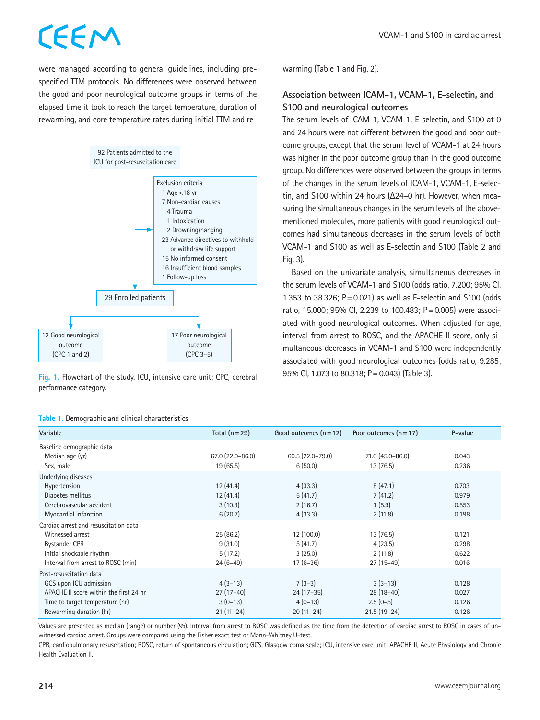were managed according to general guidelines, including prespecified TTM protocols. No differences were observed between the good and poor neurological outcome groups in terms of the elapsed time it took to reach the target temperature, duration of rewarming, and core temperature rates during initial TTM and re-



**Fig. 1.** Flowchart of the study. ICU, intensive care unit; CPC, cerebral performance category.

|  |  |  |  |  |  | Table 1. Demographic and clinical characteristics |
|--|--|--|--|--|--|---------------------------------------------------|
|--|--|--|--|--|--|---------------------------------------------------|

warming (Table 1 and Fig. 2).

#### **Association between ICAM-1, VCAM-1, E-selectin, and S100 and neurological outcomes**

The serum levels of ICAM-1, VCAM-1, E-selectin, and S100 at 0 and 24 hours were not different between the good and poor outcome groups, except that the serum level of VCAM-1 at 24 hours was higher in the poor outcome group than in the good outcome group. No differences were observed between the groups in terms of the changes in the serum levels of ICAM-1, VCAM-1, E-selectin, and S100 within 24 hours (Δ24–0 hr). However, when measuring the simultaneous changes in the serum levels of the abovementioned molecules, more patients with good neurological outcomes had simultaneous decreases in the serum levels of both VCAM-1 and S100 as well as E-selectin and S100 (Table 2 and Fig. 3).

Based on the univariate analysis, simultaneous decreases in the serum levels of VCAM-1 and S100 (odds ratio, 7.200; 95% CI, 1.353 to 38.326;  $P = 0.021$ ) as well as E-selectin and S100 (odds ratio, 15.000; 95% CI, 2.239 to 100.483; P=0.005) were associated with good neurological outcomes. When adjusted for age, interval from arrest to ROSC, and the APACHE II score, only simultaneous decreases in VCAM-1 and S100 were independently associated with good neurological outcomes (odds ratio, 9.285; 95% CI, 1.073 to 80.318; P=0.043) (Table 3).

| Variable                               | Total $(n=29)$   | Good outcomes $(n = 12)$ | Poor outcomes $(n = 17)$ | P-value |  |  |
|----------------------------------------|------------------|--------------------------|--------------------------|---------|--|--|
| Baseline demographic data              |                  |                          |                          |         |  |  |
| Median age (yr)                        | 67.0 (22.0-86.0) | $60.5(22.0 - 79.0)$      | 71.0 (45.0-86.0)         | 0.043   |  |  |
| Sex, male                              | 19(65.5)         | 6(50.0)                  | 13(76.5)                 | 0.236   |  |  |
| Underlying diseases                    |                  |                          |                          |         |  |  |
| Hypertension                           | 12(41.4)         | 4(33.3)                  | 8(47.1)                  | 0.703   |  |  |
| Diabetes mellitus                      | 12(41.4)         | 5(41.7)                  | 7(41.2)                  | 0.979   |  |  |
| Cerebrovascular accident               | 3(10.3)          | 2(16.7)                  | 1(5.9)                   | 0.553   |  |  |
| Myocardial infarction                  | 6(20.7)          | 4(33.3)                  | 2(11.8)                  | 0.198   |  |  |
| Cardiac arrest and resuscitation data  |                  |                          |                          |         |  |  |
| Witnessed arrest                       | 25(86.2)         | 12 (100.0)               | 13(76.5)                 | 0.121   |  |  |
| <b>Bystander CPR</b>                   | 9(31.0)          | 5(41.7)                  | 4(23.5)                  | 0.298   |  |  |
| Initial shockable rhythm               | 5(17.2)          | 3(25.0)                  | 2(11.8)                  | 0.622   |  |  |
| Interval from arrest to ROSC (min)     | $24(6-49)$       | $17(6-36)$               | $27(15-49)$              | 0.016   |  |  |
| Post-resuscitation data                |                  |                          |                          |         |  |  |
| GCS upon ICU admission                 | $4(3-13)$        | $7(3-3)$                 | $3(3-13)$                | 0.128   |  |  |
| APACHE II score within the first 24 hr | $27(17-40)$      | $24(17-35)$              | $28(18-40)$              | 0.027   |  |  |
| Time to target temperature (hr)        | $3(0-13)$        | $4(0-13)$                | $2.5(0-5)$               | 0.126   |  |  |
| Rewarming duration (hr)                | $21(11-24)$      | $20(11-24)$              | $21.5(19-24)$            | 0.126   |  |  |

Values are presented as median (range) or number (%). Interval from arrest to ROSC was defined as the time from the detection of cardiac arrest to ROSC in cases of unwitnessed cardiac arrest. Groups were compared using the Fisher exact test or Mann-Whitney U-test.

CPR, cardiopulmonary resuscitation; ROSC, return of spontaneous circulation; GCS, Glasgow coma scale; ICU, intensive care unit; APACHE II, Acute Physiology and Chronic Health Evaluation II.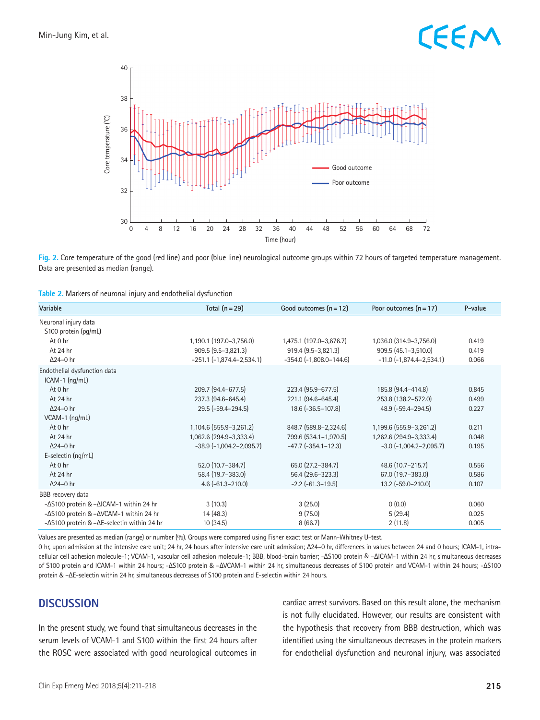

**Fig. 2.** Core temperature of the good (red line) and poor (blue line) neurological outcome groups within 72 hours of targeted temperature management. Data are presented as median (range).

| Table 2. Markers of neuronal injury and endothelial dysfunction |  |  |  |
|-----------------------------------------------------------------|--|--|--|
|-----------------------------------------------------------------|--|--|--|

| Variable                                     | Total $(n=29)$                 | Good outcomes $(n = 12)$      | Poor outcomes $(n = 17)$        | P-value |
|----------------------------------------------|--------------------------------|-------------------------------|---------------------------------|---------|
| Neuronal injury data<br>S100 protein (pg/mL) |                                |                               |                                 |         |
| At 0 hr                                      | 1,190.1 (197.0-3,756.0)        | 1,475.1 (197.0-3,676.7)       | 1,036.0 (314.9-3,756.0)         | 0.419   |
| At 24 hr                                     | 909.5 (9.5-3,821.3)            | 919.4 (9.5-3,821.3)           | 909.5 (45.1-3,510.0)            | 0.419   |
| $\Delta$ 24-0 hr                             | $-251.1$ $(-1,874.4-2,534.1)$  | $-354.0$ $(-1,808.0 - 144.6)$ | $-11.0$ $(-1,874.4-2,534.1)$    | 0.066   |
| Endothelial dysfunction data                 |                                |                               |                                 |         |
| $ICAM-1$ ( $nq/mL$ )                         |                                |                               |                                 |         |
| At 0 hr                                      | 209.7 (94.4-677.5)             | 223.4 (95.9-677.5)            | 185.8 (94.4-414.8)              | 0.845   |
| At 24 hr                                     | 237.3 (94.6-645.4)             | 221.1 (94.6-645.4)            | 253.8 (138.2-572.0)             | 0.499   |
| $\Delta$ 24-0 hr                             | $29.5$ ( $-59.4 - 294.5$ )     | 18.6 (-36.5-107.8)            | 48.9 (-59.4-294.5)              | 0.227   |
| VCAM-1 (ng/mL)                               |                                |                               |                                 |         |
| At 0 hr                                      | 1,104.6 (555.9 - 3,261.2)      | 848.7 (589.8-2,324.6)         | 1,199.6 (555.9-3,261.2)         | 0.211   |
| At 24 hr                                     | 1,062.6 (294.9-3,333.4)        | 799.6 (534.1-1,970.5)         | 1,262.6 (294.9-3,333.4)         | 0.048   |
| $\Delta$ 24-0 hr                             | $-38.9$ $(-1,004.2 - 2,095.7)$ | $-47.7$ $(-354.1 - 12.3)$     | $-3.0$ ( $-1,004.2 - 2,095.7$ ) | 0.195   |
| E-selectin (ng/mL)                           |                                |                               |                                 |         |
| At 0 hr                                      | 52.0 (10.7-384.7)              | 65.0 (27.2-384.7)             | 48.6 (10.7-215.7)               | 0.556   |
| At 24 hr                                     | 58.4 (19.7-383.0)              | 56.4 (29.6-323.3)             | 67.0 (19.7-383.0)               | 0.586   |
| $\Delta$ 24-0 hr                             | $4.6(-61.3-210.0)$             | $-2.2$ ( $-61.3-19.5$ )       | 13.2 (-59.0-210.0)              | 0.107   |
| BBB recovery data                            |                                |                               |                                 |         |
| -ΔS100 protein & -ΔICAM-1 within 24 hr       | 3(10.3)                        | 3(25.0)                       | 0(0.0)                          | 0.060   |
| -△S100 protein & -△VCAM-1 within 24 hr       | 14 (48.3)                      | 9(75.0)                       | 5(29.4)                         | 0.025   |
| -ΔS100 protein & -ΔE-selectin within 24 hr   | 10(34.5)                       | 8(66.7)                       | 2(11.8)                         | 0.005   |

Values are presented as median (range) or number (%). Groups were compared using Fisher exact test or Mann-Whitney U-test.

0 hr, upon admission at the intensive care unit; 24 hr, 24 hours after intensive care unit admission; Δ24–0 hr, differences in values between 24 and 0 hours; ICAM-1, intracellular cell adhesion molecule-1; VCAM-1, vascular cell adhesion molecule-1; BBB, blood-brain barrier; -ΔS100 protein & –ΔICAM-1 within 24 hr, simultaneous decreases of S100 protein and ICAM-1 within 24 hours; -ΔS100 protein & –ΔVCAM-1 within 24 hr, simultaneous decreases of S100 protein and VCAM-1 within 24 hours; -ΔS100 protein & –ΔE-selectin within 24 hr, simultaneous decreases of S100 protein and E-selectin within 24 hours.

#### **DISCUSSION**

In the present study, we found that simultaneous decreases in the serum levels of VCAM-1 and S100 within the first 24 hours after the ROSC were associated with good neurological outcomes in

cardiac arrest survivors. Based on this result alone, the mechanism is not fully elucidated. However, our results are consistent with the hypothesis that recovery from BBB destruction, which was identified using the simultaneous decreases in the protein markers for endothelial dysfunction and neuronal injury, was associated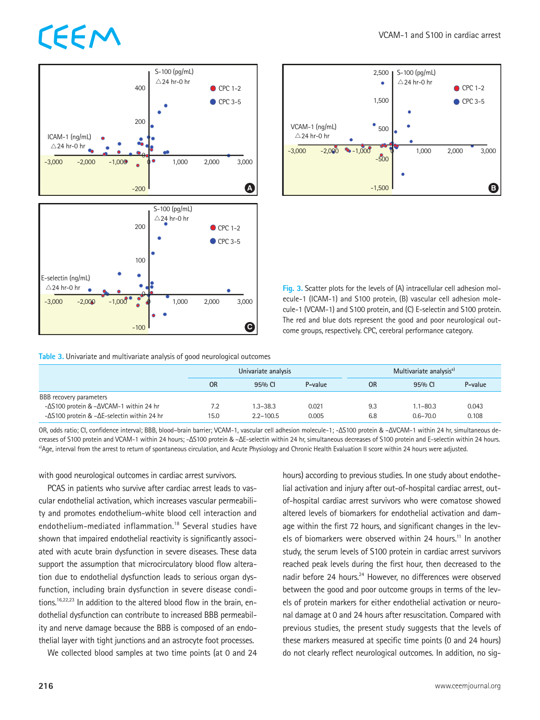



**Fig. 3.** Scatter plots for the levels of (A) intracellular cell adhesion molecule-1 (ICAM-1) and S100 protein, (B) vascular cell adhesion molecule-1 (VCAM-1) and S100 protein, and (C) E-selectin and S100 protein. The red and blue dots represent the good and poor neurological outcome groups, respectively. CPC, cerebral performance category.

**Table 3.** Univariate and multivariate analysis of good neurological outcomes

|                                                            | Univariate analysis |               |         | Multivariate analysis <sup>a)</sup> |              |         |
|------------------------------------------------------------|---------------------|---------------|---------|-------------------------------------|--------------|---------|
|                                                            | OR                  | 95% CI        | P-value | <b>OR</b>                           | 95% CI       | P-value |
| BBB recovery parameters                                    |                     |               |         |                                     |              |         |
| $-\Delta$ S100 protein & $-\Delta$ VCAM-1 within 24 hr     | 7.2                 | $1.3 - 38.3$  | 0.021   | 9.3                                 | $1.1 - 80.3$ | 0.043   |
| $-\Delta$ S100 protein & $-\Delta$ E-selectin within 24 hr | 15.0                | $2.2 - 100.5$ | 0.005   | 6.8                                 | $0.6 - 70.0$ | 0.108   |

OR, odds ratio; CI, confidence interval; BBB, blood–brain barrier; VCAM-1, vascular cell adhesion molecule-1; -ΔS100 protein & –ΔVCAM-1 within 24 hr, simultaneous decreases of S100 protein and VCAM-1 within 24 hours; -ΔS100 protein & –ΔE-selectin within 24 hr, simultaneous decreases of S100 protein and E-selectin within 24 hours. a)Age, interval from the arrest to return of spontaneous circulation, and Acute Physiology and Chronic Health Evaluation II score within 24 hours were adjusted.

with good neurological outcomes in cardiac arrest survivors.

PCAS in patients who survive after cardiac arrest leads to vascular endothelial activation, which increases vascular permeability and promotes endothelium-white blood cell interaction and endothelium-mediated inflammation.18 Several studies have shown that impaired endothelial reactivity is significantly associated with acute brain dysfunction in severe diseases. These data support the assumption that microcirculatory blood flow alteration due to endothelial dysfunction leads to serious organ dysfunction, including brain dysfunction in severe disease conditions.<sup>16,22,23</sup> In addition to the altered blood flow in the brain, endothelial dysfunction can contribute to increased BBB permeability and nerve damage because the BBB is composed of an endothelial layer with tight junctions and an astrocyte foot processes.

We collected blood samples at two time points (at 0 and 24

hours) according to previous studies. In one study about endothelial activation and injury after out-of-hospital cardiac arrest, outof-hospital cardiac arrest survivors who were comatose showed altered levels of biomarkers for endothelial activation and damage within the first 72 hours, and significant changes in the levels of biomarkers were observed within 24 hours.<sup>11</sup> In another study, the serum levels of S100 protein in cardiac arrest survivors reached peak levels during the first hour, then decreased to the nadir before 24 hours.<sup>24</sup> However, no differences were observed between the good and poor outcome groups in terms of the levels of protein markers for either endothelial activation or neuronal damage at 0 and 24 hours after resuscitation. Compared with previous studies, the present study suggests that the levels of these markers measured at specific time points (0 and 24 hours) do not clearly reflect neurological outcomes. In addition, no sig-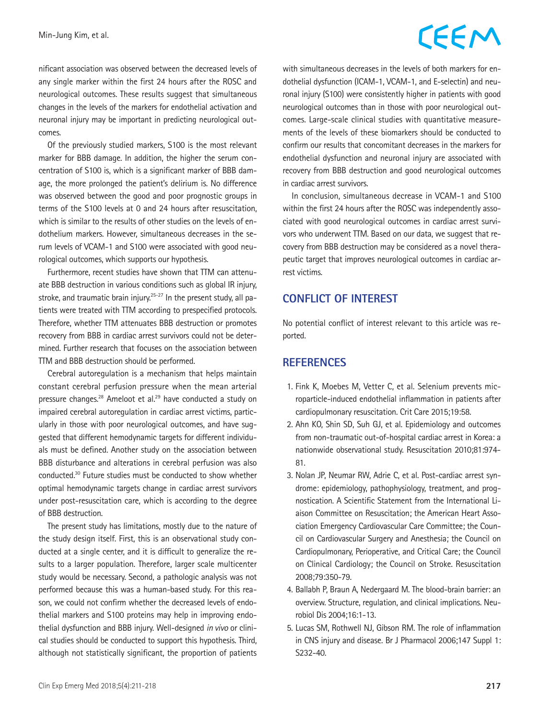nificant association was observed between the decreased levels of any single marker within the first 24 hours after the ROSC and neurological outcomes. These results suggest that simultaneous changes in the levels of the markers for endothelial activation and neuronal injury may be important in predicting neurological outcomes.

Of the previously studied markers, S100 is the most relevant marker for BBB damage. In addition, the higher the serum concentration of S100 is, which is a significant marker of BBB damage, the more prolonged the patient's delirium is. No difference was observed between the good and poor prognostic groups in terms of the S100 levels at 0 and 24 hours after resuscitation, which is similar to the results of other studies on the levels of endothelium markers. However, simultaneous decreases in the serum levels of VCAM-1 and S100 were associated with good neurological outcomes, which supports our hypothesis.

Furthermore, recent studies have shown that TTM can attenuate BBB destruction in various conditions such as global IR injury, stroke, and traumatic brain injury.<sup>25-27</sup> In the present study, all patients were treated with TTM according to prespecified protocols. Therefore, whether TTM attenuates BBB destruction or promotes recovery from BBB in cardiac arrest survivors could not be determined. Further research that focuses on the association between TTM and BBB destruction should be performed.

Cerebral autoregulation is a mechanism that helps maintain constant cerebral perfusion pressure when the mean arterial pressure changes.28 Ameloot et al.29 have conducted a study on impaired cerebral autoregulation in cardiac arrest victims, particularly in those with poor neurological outcomes, and have suggested that different hemodynamic targets for different individuals must be defined. Another study on the association between BBB disturbance and alterations in cerebral perfusion was also conducted.30 Future studies must be conducted to show whether optimal hemodynamic targets change in cardiac arrest survivors under post-resuscitation care, which is according to the degree of BBB destruction.

The present study has limitations, mostly due to the nature of the study design itself. First, this is an observational study conducted at a single center, and it is difficult to generalize the results to a larger population. Therefore, larger scale multicenter study would be necessary. Second, a pathologic analysis was not performed because this was a human-based study. For this reason, we could not confirm whether the decreased levels of endothelial markers and S100 proteins may help in improving endothelial dysfunction and BBB injury. Well-designed *in vivo* or clinical studies should be conducted to support this hypothesis. Third, although not statistically significant, the proportion of patients

with simultaneous decreases in the levels of both markers for endothelial dysfunction (ICAM-1, VCAM-1, and E-selectin) and neuronal injury (S100) were consistently higher in patients with good neurological outcomes than in those with poor neurological outcomes. Large-scale clinical studies with quantitative measurements of the levels of these biomarkers should be conducted to confirm our results that concomitant decreases in the markers for endothelial dysfunction and neuronal injury are associated with recovery from BBB destruction and good neurological outcomes in cardiac arrest survivors.

In conclusion, simultaneous decrease in VCAM-1 and S100 within the first 24 hours after the ROSC was independently associated with good neurological outcomes in cardiac arrest survivors who underwent TTM. Based on our data, we suggest that recovery from BBB destruction may be considered as a novel therapeutic target that improves neurological outcomes in cardiac arrest victims.

#### **CONFLICT OF INTEREST**

No potential conflict of interest relevant to this article was reported.

#### **REFERENCES**

- 1. Fink K, Moebes M, Vetter C, et al. Selenium prevents microparticle-induced endothelial inflammation in patients after cardiopulmonary resuscitation. Crit Care 2015;19:58.
- 2. Ahn KO, Shin SD, Suh GJ, et al. Epidemiology and outcomes from non-traumatic out-of-hospital cardiac arrest in Korea: a nationwide observational study. Resuscitation 2010;81:974- 81.
- 3. Nolan JP, Neumar RW, Adrie C, et al. Post-cardiac arrest syndrome: epidemiology, pathophysiology, treatment, and prognostication. A Scientific Statement from the International Liaison Committee on Resuscitation; the American Heart Association Emergency Cardiovascular Care Committee; the Council on Cardiovascular Surgery and Anesthesia; the Council on Cardiopulmonary, Perioperative, and Critical Care; the Council on Clinical Cardiology; the Council on Stroke. Resuscitation 2008;79:350-79.
- 4. Ballabh P, Braun A, Nedergaard M. The blood-brain barrier: an overview. Structure, regulation, and clinical implications. Neurobiol Dis 2004;16:1-13.
- 5. Lucas SM, Rothwell NJ, Gibson RM. The role of inflammation in CNS injury and disease. Br J Pharmacol 2006;147 Suppl 1: S232-40.